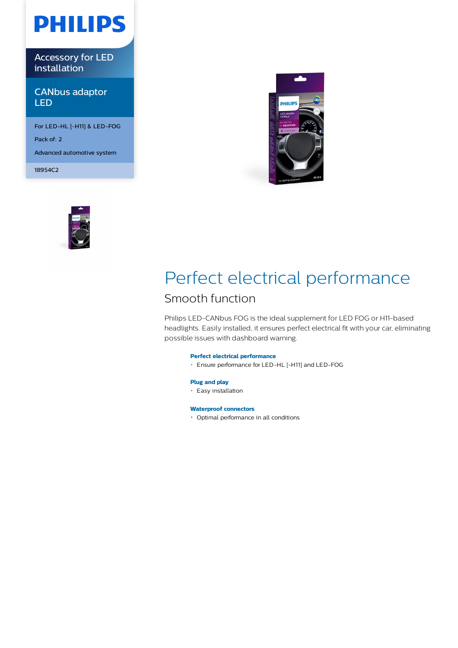# **PHILIPS**

Accessory for LED installation

CANbus adaptor LED

For LED-HL [~H11] & LED-FOG Pack of: 2 Advanced automotive system

18954C2





## Perfect electrical performance

### Smooth function

Philips LED-CANbus FOG is the ideal supplement for LED FOG or H11-based headlights. Easily installed, it ensures perfect electrical fit with your car, eliminating possible issues with dashboard warning.

### **Perfect electrical performance**

Ensure performance for LED-HL [~H11] and LED-FOG

#### **Plug and play**

Easy installation

#### **Waterproof connectors**

Optimal performance in all conditions